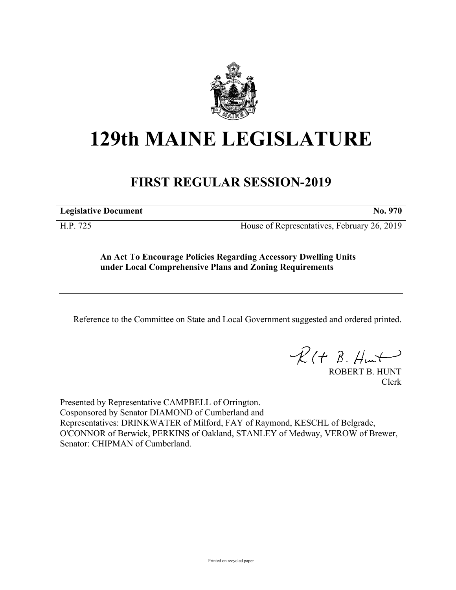

## **129th MAINE LEGISLATURE**

## **FIRST REGULAR SESSION-2019**

**Legislative Document No. 970**

H.P. 725 House of Representatives, February 26, 2019

**An Act To Encourage Policies Regarding Accessory Dwelling Units under Local Comprehensive Plans and Zoning Requirements**

Reference to the Committee on State and Local Government suggested and ordered printed.

 $R(t B. Hmt)$ 

ROBERT B. HUNT Clerk

Presented by Representative CAMPBELL of Orrington. Cosponsored by Senator DIAMOND of Cumberland and Representatives: DRINKWATER of Milford, FAY of Raymond, KESCHL of Belgrade, O'CONNOR of Berwick, PERKINS of Oakland, STANLEY of Medway, VEROW of Brewer, Senator: CHIPMAN of Cumberland.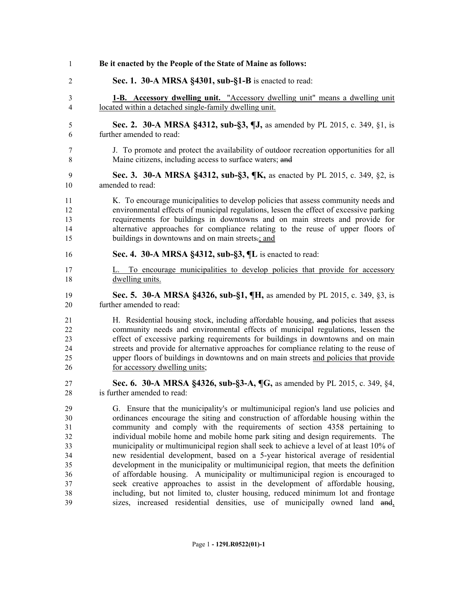| $\mathbf{1}$   | Be it enacted by the People of the State of Maine as follows:                          |
|----------------|----------------------------------------------------------------------------------------|
| $\overline{2}$ | Sec. 1. 30-A MRSA §4301, sub-§1-B is enacted to read:                                  |
| $\mathfrak{Z}$ | <b>1-B.</b> Accessory dwelling unit. "Accessory dwelling unit" means a dwelling unit   |
| $\overline{4}$ | located within a detached single-family dwelling unit.                                 |
| 5              | Sec. 2. 30-A MRSA §4312, sub-§3, ¶J, as amended by PL 2015, c. 349, §1, is             |
| 6              | further amended to read:                                                               |
| 7              | J. To promote and protect the availability of outdoor recreation opportunities for all |
| 8              | Maine citizens, including access to surface waters; and                                |
| 9              | Sec. 3. 30-A MRSA §4312, sub-§3, ¶K, as enacted by PL 2015, c. 349, §2, is             |
| 10             | amended to read:                                                                       |
| 11             | K. To encourage municipalities to develop policies that assess community needs and     |
| 12             | environmental effects of municipal regulations, lessen the effect of excessive parking |
| 13             | requirements for buildings in downtowns and on main streets and provide for            |
| 14             | alternative approaches for compliance relating to the reuse of upper floors of         |
| 15             | buildings in downtowns and on main streets-; and                                       |
| 16             | Sec. 4. 30-A MRSA §4312, sub-§3, ¶L is enacted to read:                                |
| 17             | L. To encourage municipalities to develop policies that provide for accessory          |
| 18             | dwelling units.                                                                        |
| 19             | Sec. 5. 30-A MRSA §4326, sub-§1, ¶H, as amended by PL 2015, c. 349, §3, is             |
| 20             | further amended to read:                                                               |
| 21             | H. Residential housing stock, including affordable housing, and policies that assess   |
| 22             | community needs and environmental effects of municipal regulations, lessen the         |
| 23             | effect of excessive parking requirements for buildings in downtowns and on main        |
| 24             | streets and provide for alternative approaches for compliance relating to the reuse of |
| 25             | upper floors of buildings in downtowns and on main streets and policies that provide   |
| 26             | for accessory dwelling units;                                                          |
| 27             | Sec. 6. 30-A MRSA §4326, sub-§3-A, ¶G, as amended by PL 2015, c. 349, §4,              |
| $28\,$         | is further amended to read:                                                            |
| 29             | G. Ensure that the municipality's or multimunicipal region's land use policies and     |
| 30             | ordinances encourage the siting and construction of affordable housing within the      |
| 31             | community and comply with the requirements of section 4358 pertaining to               |
| 32             | individual mobile home and mobile home park siting and design requirements. The        |
| 33             | municipality or multimunicipal region shall seek to achieve a level of at least 10% of |
| 34             | new residential development, based on a 5-year historical average of residential       |
| 35             | development in the municipality or multimunicipal region, that meets the definition    |
| 36             | of affordable housing. A municipality or multimunicipal region is encouraged to        |
| 37             | seek creative approaches to assist in the development of affordable housing,           |
| 38             | including, but not limited to, cluster housing, reduced minimum lot and frontage       |
| 39             | sizes, increased residential densities, use of municipally owned land and,             |